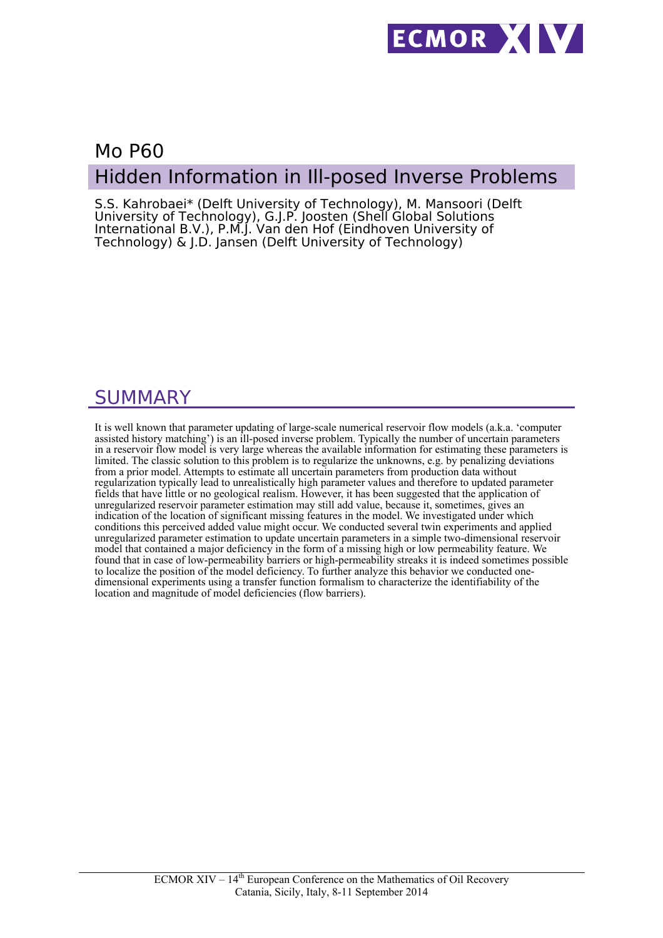

# Mo P60 Hidden Information in Ill-posed Inverse Problems

S.S. Kahrobaei\* (Delft University of Technology), M. Mansoori (Delft University of Technology), G.J.P. Joosten (Shell Global Solutions International B.V.), P.M.J. Van den Hof (Eindhoven University of Technology) & J.D. Jansen (Delft University of Technology)

## SUMMARY

It is well known that parameter updating of large-scale numerical reservoir flow models (a.k.a. 'computer assisted history matching') is an ill-posed inverse problem. Typically the number of uncertain parameters in a reservoir flow model is very large whereas the available information for estimating these parameters is limited. The classic solution to this problem is to regularize the unknowns, e.g. by penalizing deviations from a prior model. Attempts to estimate all uncertain parameters from production data without regularization typically lead to unrealistically high parameter values and therefore to updated parameter fields that have little or no geological realism. However, it has been suggested that the application of unregularized reservoir parameter estimation may still add value, because it, sometimes, gives an indication of the location of significant missing features in the model. We investigated under which conditions this perceived added value might occur. We conducted several twin experiments and applied unregularized parameter estimation to update uncertain parameters in a simple two-dimensional reservoir model that contained a major deficiency in the form of a missing high or low permeability feature. We found that in case of low-permeability barriers or high-permeability streaks it is indeed sometimes possible to localize the position of the model deficiency. To further analyze this behavior we conducted onedimensional experiments using a transfer function formalism to characterize the identifiability of the location and magnitude of model deficiencies (flow barriers).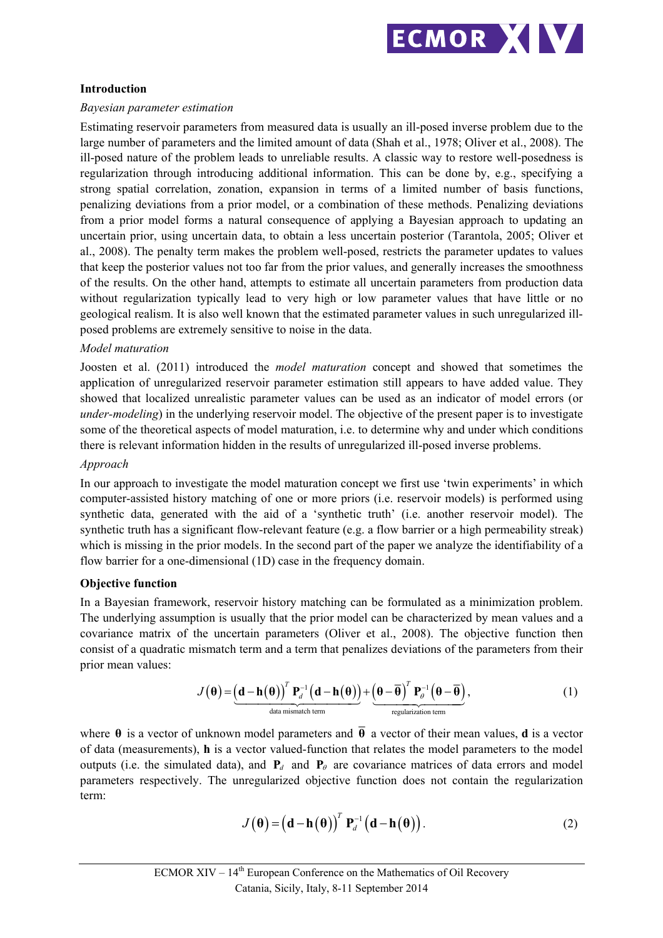

## **Introduction**

### *Bayesian parameter estimation*

Estimating reservoir parameters from measured data is usually an ill-posed inverse problem due to the large number of parameters and the limited amount of data (Shah et al., 1978; Oliver et al., 2008). The ill-posed nature of the problem leads to unreliable results. A classic way to restore well-posedness is regularization through introducing additional information. This can be done by, e.g., specifying a strong spatial correlation, zonation, expansion in terms of a limited number of basis functions, penalizing deviations from a prior model, or a combination of these methods. Penalizing deviations from a prior model forms a natural consequence of applying a Bayesian approach to updating an uncertain prior, using uncertain data, to obtain a less uncertain posterior (Tarantola, 2005; Oliver et al., 2008). The penalty term makes the problem well-posed, restricts the parameter updates to values that keep the posterior values not too far from the prior values, and generally increases the smoothness of the results. On the other hand, attempts to estimate all uncertain parameters from production data without regularization typically lead to very high or low parameter values that have little or no geological realism. It is also well known that the estimated parameter values in such unregularized illposed problems are extremely sensitive to noise in the data.

#### *Model maturation*

Joosten et al. (2011) introduced the *model maturation* concept and showed that sometimes the application of unregularized reservoir parameter estimation still appears to have added value. They showed that localized unrealistic parameter values can be used as an indicator of model errors (or *under-modeling*) in the underlying reservoir model. The objective of the present paper is to investigate some of the theoretical aspects of model maturation, i.e. to determine why and under which conditions there is relevant information hidden in the results of unregularized ill-posed inverse problems.

#### *Approach*

In our approach to investigate the model maturation concept we first use 'twin experiments' in which computer-assisted history matching of one or more priors (i.e. reservoir models) is performed using synthetic data, generated with the aid of a 'synthetic truth' (i.e. another reservoir model). The synthetic truth has a significant flow-relevant feature (e.g. a flow barrier or a high permeability streak) which is missing in the prior models. In the second part of the paper we analyze the identifiability of a flow barrier for a one-dimensional (1D) case in the frequency domain.

## **Objective function**

In a Bayesian framework, reservoir history matching can be formulated as a minimization problem. The underlying assumption is usually that the prior model can be characterized by mean values and a covariance matrix of the uncertain parameters (Oliver et al., 2008). The objective function then consist of a quadratic mismatch term and a term that penalizes deviations of the parameters from their prior mean values:

$$
J(\theta) = \underbrace{\left(\mathbf{d} - \mathbf{h}(\theta)\right)^{T} \mathbf{P}_{d}^{-1} \left(\mathbf{d} - \mathbf{h}(\theta)\right)}_{\text{data mismatch term}} + \underbrace{\left(\theta - \overline{\theta}\right)^{T} \mathbf{P}_{\theta}^{-1} \left(\theta - \overline{\theta}\right)}_{\text{regularization term}},
$$
\n(1)

where  $\theta$  is a vector of unknown model parameters and  $\overline{\theta}$  a vector of their mean values, **d** is a vector of data (measurements), **h** is a vector valued-function that relates the model parameters to the model outputs (i.e. the simulated data), and  $P_d$  and  $P_\theta$  are covariance matrices of data errors and model parameters respectively. The unregularized objective function does not contain the regularization term:

$$
J(\boldsymbol{\theta}) = (\mathbf{d} - \mathbf{h}(\boldsymbol{\theta}))^T P_d^{-1} (\mathbf{d} - \mathbf{h}(\boldsymbol{\theta})).
$$
 (2)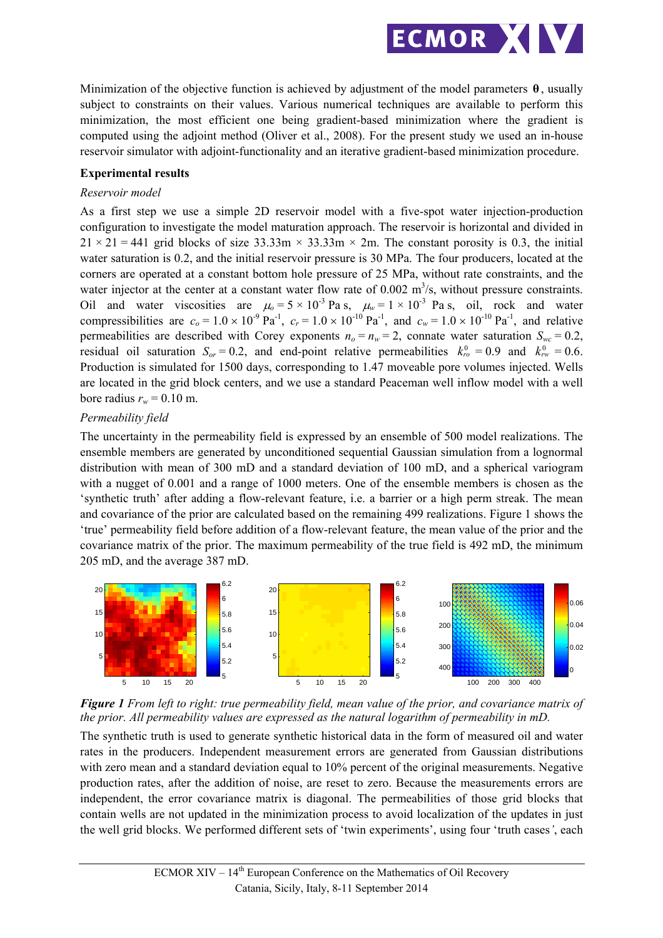

Minimization of the objective function is achieved by adjustment of the model parameters **θ** , usually subject to constraints on their values. Various numerical techniques are available to perform this minimization, the most efficient one being gradient-based minimization where the gradient is computed using the adjoint method (Oliver et al., 2008). For the present study we used an in-house reservoir simulator with adjoint-functionality and an iterative gradient-based minimization procedure.

#### **Experimental results**

#### *Reservoir model*

As a first step we use a simple 2D reservoir model with a five-spot water injection-production configuration to investigate the model maturation approach. The reservoir is horizontal and divided in  $21 \times 21 = 441$  grid blocks of size 33.33m  $\times$  33.33m  $\times$  2m. The constant porosity is 0.3, the initial water saturation is 0.2, and the initial reservoir pressure is 30 MPa. The four producers, located at the corners are operated at a constant bottom hole pressure of 25 MPa, without rate constraints, and the water injector at the center at a constant water flow rate of  $0.002 \text{ m}^3/\text{s}$ , without pressure constraints. Oil and water viscosities are  $\mu_0 = 5 \times 10^{-3}$  Pa s,  $\mu_w = 1 \times 10^{-3}$  Pa s, oil, rock and water compressibilities are  $c_0 = 1.0 \times 10^{-9} \text{ Pa}^{-1}$ ,  $c_r = 1.0 \times 10^{-10} \text{ Pa}^{-1}$ , and  $c_w = 1.0 \times 10^{-10} \text{ Pa}^{-1}$ , and relative permeabilities are described with Corey exponents  $n_o = n_w = 2$ , connate water saturation  $S_{wc} = 0.2$ , residual oil saturation  $S_{or} = 0.2$ , and end-point relative permeabilities  $k_{ro}^0 = 0.9$  and  $k_{rw}^0 = 0.6$ . Production is simulated for 1500 days, corresponding to 1.47 moveable pore volumes injected. Wells are located in the grid block centers, and we use a standard Peaceman well inflow model with a well bore radius  $r_w = 0.10$  m.

#### *Permeability field*

The uncertainty in the permeability field is expressed by an ensemble of 500 model realizations. The ensemble members are generated by unconditioned sequential Gaussian simulation from a lognormal distribution with mean of 300 mD and a standard deviation of 100 mD, and a spherical variogram with a nugget of 0.001 and a range of 1000 meters. One of the ensemble members is chosen as the 'synthetic truth' after adding a flow-relevant feature, i.e. a barrier or a high perm streak. The mean and covariance of the prior are calculated based on the remaining 499 realizations. Figure 1 shows the 'true' permeability field before addition of a flow-relevant feature, the mean value of the prior and the covariance matrix of the prior. The maximum permeability of the true field is 492 mD, the minimum 205 mD, and the average 387 mD.





The synthetic truth is used to generate synthetic historical data in the form of measured oil and water rates in the producers. Independent measurement errors are generated from Gaussian distributions with zero mean and a standard deviation equal to 10% percent of the original measurements. Negative production rates, after the addition of noise, are reset to zero. Because the measurements errors are independent, the error covariance matrix is diagonal. The permeabilities of those grid blocks that contain wells are not updated in the minimization process to avoid localization of the updates in just the well grid blocks. We performed different sets of 'twin experiments', using four 'truth cases*'*, each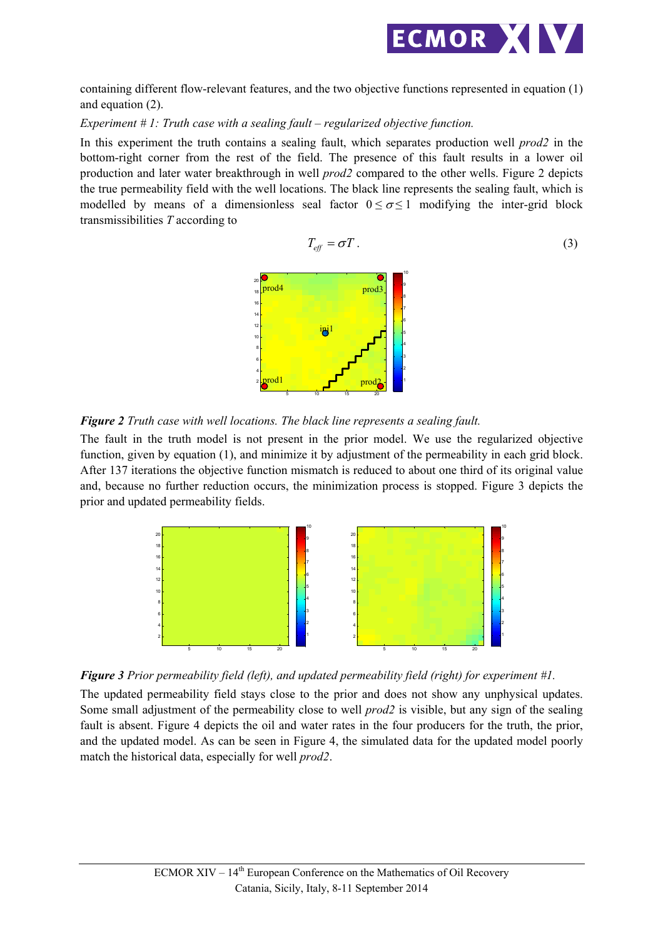

containing different flow-relevant features, and the two objective functions represented in equation (1) and equation (2).

#### *Experiment # 1: Truth case with a sealing fault – regularized objective function.*

In this experiment the truth contains a sealing fault, which separates production well *prod2* in the bottom-right corner from the rest of the field. The presence of this fault results in a lower oil production and later water breakthrough in well *prod2* compared to the other wells. Figure 2 depicts the true permeability field with the well locations. The black line represents the sealing fault, which is modelled by means of a dimensionless seal factor  $0 \le \sigma \le 1$  modifying the inter-grid block transmissibilities *T* according to

$$
T_{\text{eff}} = \sigma T \tag{3}
$$



*Figure 2 Truth case with well locations. The black line represents a sealing fault.* 

The fault in the truth model is not present in the prior model. We use the regularized objective function, given by equation (1), and minimize it by adjustment of the permeability in each grid block. After 137 iterations the objective function mismatch is reduced to about one third of its original value and, because no further reduction occurs, the minimization process is stopped. Figure 3 depicts the prior and updated permeability fields.





The updated permeability field stays close to the prior and does not show any unphysical updates. Some small adjustment of the permeability close to well *prod2* is visible, but any sign of the sealing fault is absent. Figure 4 depicts the oil and water rates in the four producers for the truth, the prior, and the updated model. As can be seen in Figure 4, the simulated data for the updated model poorly match the historical data, especially for well *prod2*.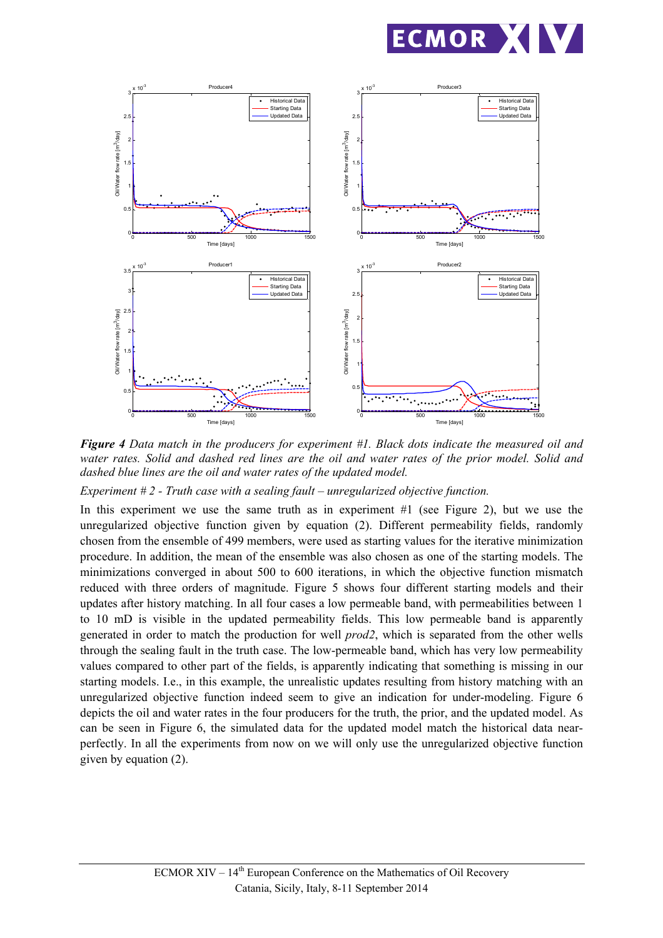



*Figure 4 Data match in the producers for experiment #1. Black dots indicate the measured oil and water rates. Solid and dashed red lines are the oil and water rates of the prior model. Solid and dashed blue lines are the oil and water rates of the updated model.* 

*Experiment # 2 - Truth case with a sealing fault – unregularized objective function.* 

In this experiment we use the same truth as in experiment #1 (see Figure 2), but we use the unregularized objective function given by equation (2). Different permeability fields, randomly chosen from the ensemble of 499 members, were used as starting values for the iterative minimization procedure. In addition, the mean of the ensemble was also chosen as one of the starting models. The minimizations converged in about 500 to 600 iterations, in which the objective function mismatch reduced with three orders of magnitude. Figure 5 shows four different starting models and their updates after history matching. In all four cases a low permeable band, with permeabilities between 1 to 10 mD is visible in the updated permeability fields. This low permeable band is apparently generated in order to match the production for well *prod2*, which is separated from the other wells through the sealing fault in the truth case. The low-permeable band, which has very low permeability values compared to other part of the fields, is apparently indicating that something is missing in our starting models. I.e., in this example, the unrealistic updates resulting from history matching with an unregularized objective function indeed seem to give an indication for under-modeling. Figure 6 depicts the oil and water rates in the four producers for the truth, the prior, and the updated model. As can be seen in Figure 6, the simulated data for the updated model match the historical data nearperfectly. In all the experiments from now on we will only use the unregularized objective function given by equation (2).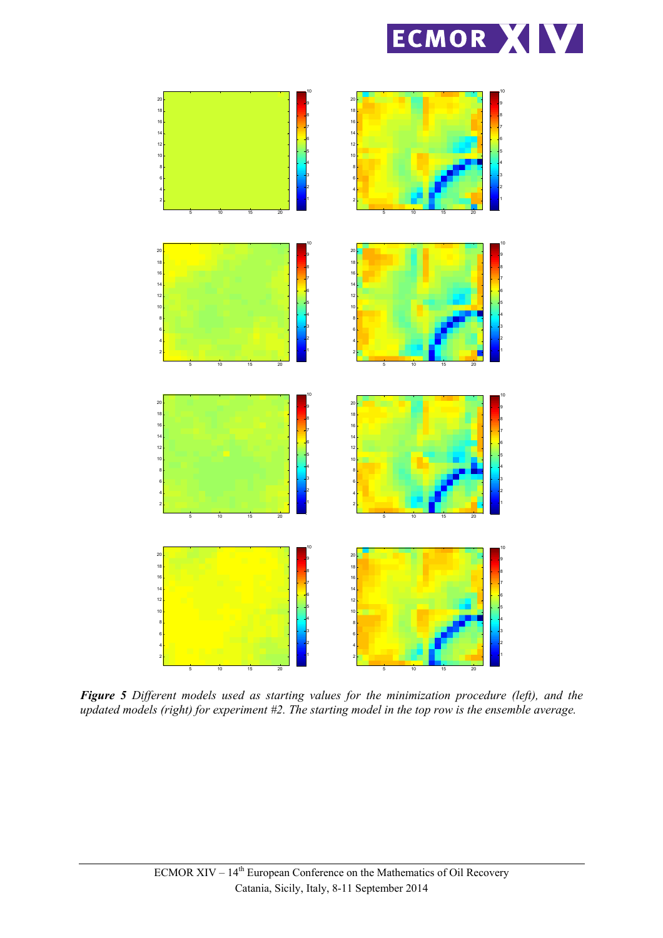



*Figure 5 Different models used as starting values for the minimization procedure (left), and the updated models (right) for experiment #2. The starting model in the top row is the ensemble average.*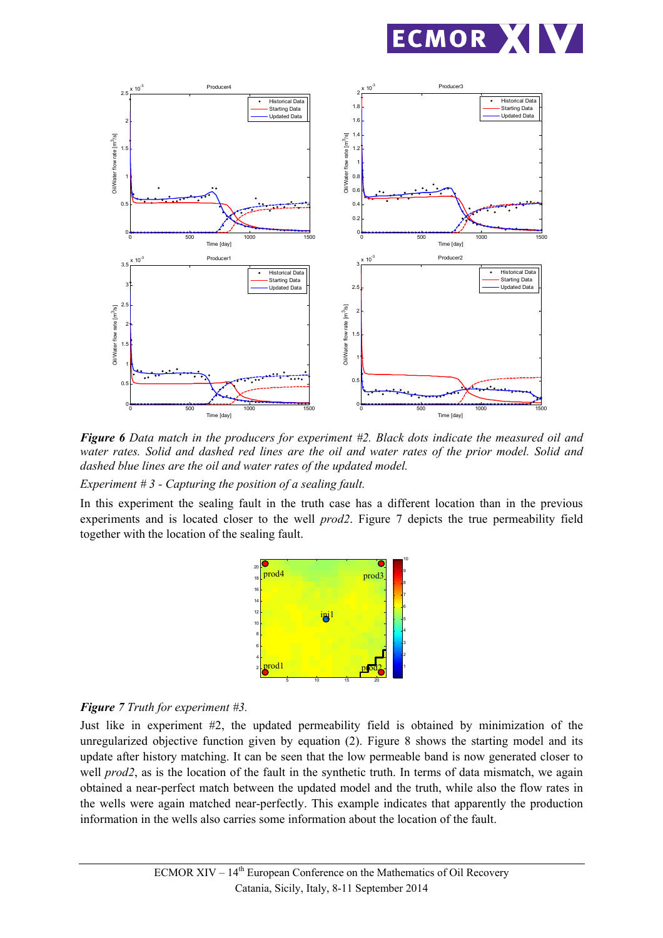



*Figure 6 Data match in the producers for experiment #2. Black dots indicate the measured oil and water rates. Solid and dashed red lines are the oil and water rates of the prior model. Solid and dashed blue lines are the oil and water rates of the updated model.* 

*Experiment # 3 - Capturing the position of a sealing fault.* 

In this experiment the sealing fault in the truth case has a different location than in the previous experiments and is located closer to the well *prod2*. Figure 7 depicts the true permeability field together with the location of the sealing fault.



## *Figure 7 Truth for experiment #3.*

Just like in experiment #2, the updated permeability field is obtained by minimization of the unregularized objective function given by equation (2). Figure 8 shows the starting model and its update after history matching. It can be seen that the low permeable band is now generated closer to well *prod2*, as is the location of the fault in the synthetic truth. In terms of data mismatch, we again obtained a near-perfect match between the updated model and the truth, while also the flow rates in the wells were again matched near-perfectly. This example indicates that apparently the production information in the wells also carries some information about the location of the fault.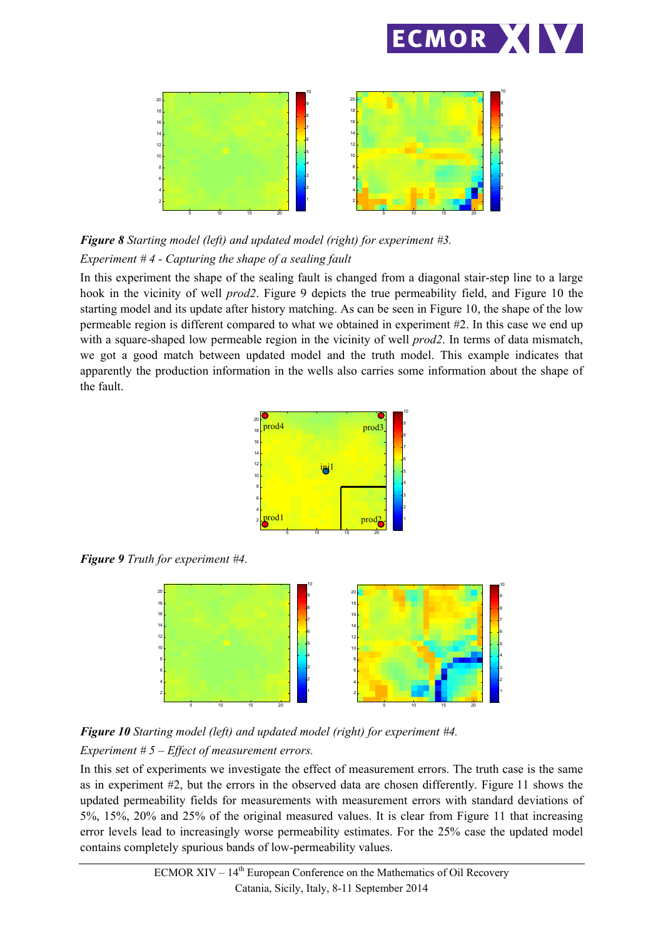



*Figure 8 Starting model (left) and updated model (right) for experiment #3. Experiment # 4 - Capturing the shape of a sealing fault* 

In this experiment the shape of the sealing fault is changed from a diagonal stair-step line to a large hook in the vicinity of well *prod2*. Figure 9 depicts the true permeability field, and Figure 10 the starting model and its update after history matching. As can be seen in Figure 10, the shape of the low permeable region is different compared to what we obtained in experiment #2. In this case we end up with a square-shaped low permeable region in the vicinity of well *prod2*. In terms of data mismatch, we got a good match between updated model and the truth model. This example indicates that apparently the production information in the wells also carries some information about the shape of the fault.



*Figure 9 Truth for experiment #4.* 



*Figure 10 Starting model (left) and updated model (right) for experiment #4. Experiment # 5 – Effect of measurement errors.* 

In this set of experiments we investigate the effect of measurement errors. The truth case is the same as in experiment #2, but the errors in the observed data are chosen differently. Figure 11 shows the updated permeability fields for measurements with measurement errors with standard deviations of 5%, 15%, 20% and 25% of the original measured values. It is clear from Figure 11 that increasing error levels lead to increasingly worse permeability estimates. For the 25% case the updated model contains completely spurious bands of low-permeability values.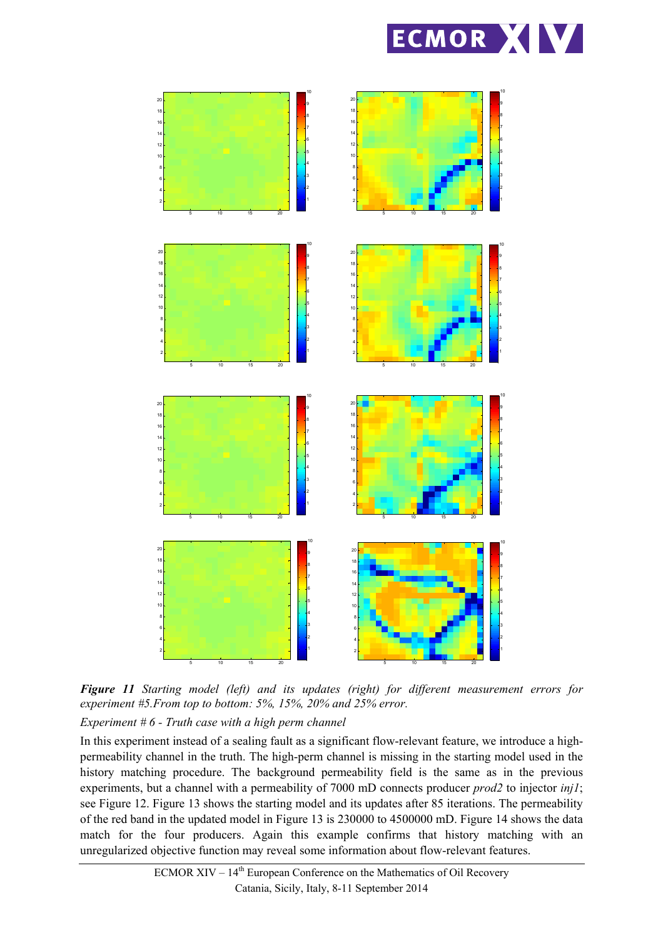



*Figure 11 Starting model (left) and its updates (right) for different measurement errors for experiment #5.From top to bottom: 5%, 15%, 20% and 25% error.* 

*Experiment # 6 - Truth case with a high perm channel* 

In this experiment instead of a sealing fault as a significant flow-relevant feature, we introduce a highpermeability channel in the truth. The high-perm channel is missing in the starting model used in the history matching procedure. The background permeability field is the same as in the previous experiments, but a channel with a permeability of 7000 mD connects producer *prod2* to injector *inj1*; see Figure 12. Figure 13 shows the starting model and its updates after 85 iterations. The permeability of the red band in the updated model in Figure 13 is 230000 to 4500000 mD. Figure 14 shows the data match for the four producers. Again this example confirms that history matching with an unregularized objective function may reveal some information about flow-relevant features.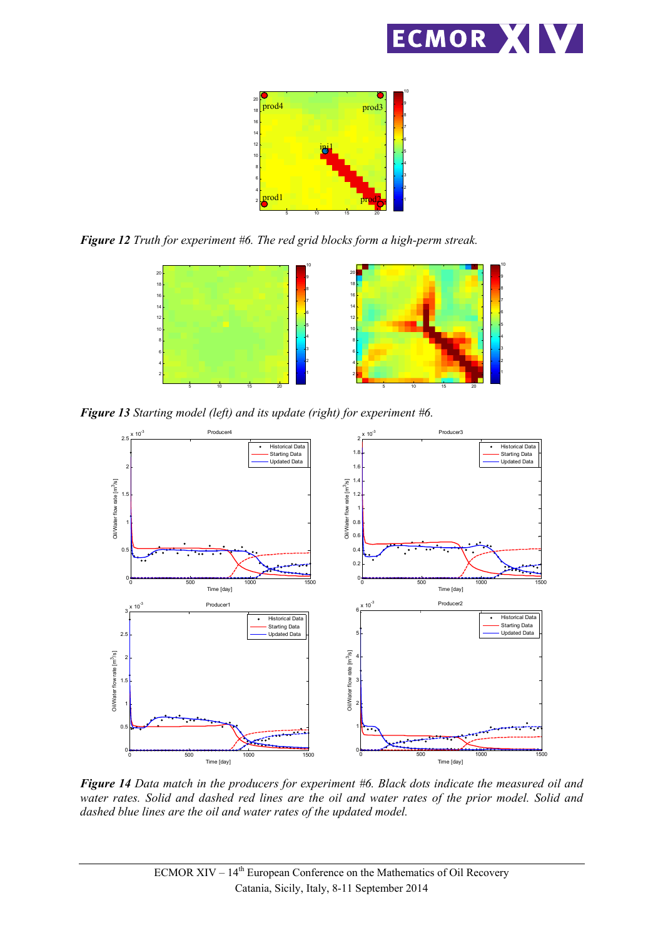



*Figure 12 Truth for experiment #6. The red grid blocks form a high-perm streak.* 



*Figure 13 Starting model (left) and its update (right) for experiment #6.* 



*Figure 14 Data match in the producers for experiment #6. Black dots indicate the measured oil and water rates. Solid and dashed red lines are the oil and water rates of the prior model. Solid and dashed blue lines are the oil and water rates of the updated model.*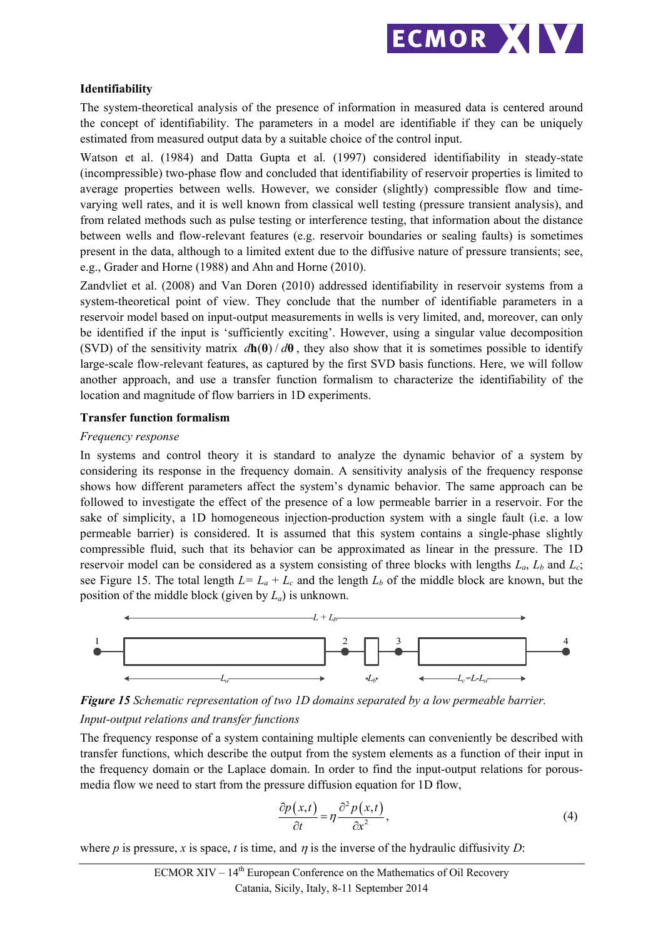

## **Identifiability**

The system-theoretical analysis of the presence of information in measured data is centered around the concept of identifiability. The parameters in a model are identifiable if they can be uniquely estimated from measured output data by a suitable choice of the control input.

Watson et al. (1984) and Datta Gupta et al. (1997) considered identifiability in steady-state (incompressible) two-phase flow and concluded that identifiability of reservoir properties is limited to average properties between wells. However, we consider (slightly) compressible flow and timevarying well rates, and it is well known from classical well testing (pressure transient analysis), and from related methods such as pulse testing or interference testing, that information about the distance between wells and flow-relevant features (e.g. reservoir boundaries or sealing faults) is sometimes present in the data, although to a limited extent due to the diffusive nature of pressure transients; see, e.g., Grader and Horne (1988) and Ahn and Horne (2010).

Zandvliet et al. (2008) and Van Doren (2010) addressed identifiability in reservoir systems from a system-theoretical point of view. They conclude that the number of identifiable parameters in a reservoir model based on input-output measurements in wells is very limited, and, moreover, can only be identified if the input is 'sufficiently exciting'. However, using a singular value decomposition (SVD) of the sensitivity matrix  $d\mathbf{h}(\theta)/d\theta$ , they also show that it is sometimes possible to identify large-scale flow-relevant features, as captured by the first SVD basis functions. Here, we will follow another approach, and use a transfer function formalism to characterize the identifiability of the location and magnitude of flow barriers in 1D experiments.

#### **Transfer function formalism**

#### *Frequency response*

In systems and control theory it is standard to analyze the dynamic behavior of a system by considering its response in the frequency domain. A sensitivity analysis of the frequency response shows how different parameters affect the system's dynamic behavior. The same approach can be followed to investigate the effect of the presence of a low permeable barrier in a reservoir. For the sake of simplicity, a 1D homogeneous injection-production system with a single fault (i.e. a low permeable barrier) is considered. It is assumed that this system contains a single-phase slightly compressible fluid, such that its behavior can be approximated as linear in the pressure. The 1D reservoir model can be considered as a system consisting of three blocks with lengths  $L_a$ ,  $L_b$  and  $L_c$ ; see Figure 15. The total length  $L = L_a + L_c$  and the length  $L_b$  of the middle block are known, but the position of the middle block (given by *La*) is unknown.



*Figure 15 Schematic representation of two 1D domains separated by a low permeable barrier. Input-output relations and transfer functions* 

The frequency response of a system containing multiple elements can conveniently be described with transfer functions, which describe the output from the system elements as a function of their input in the frequency domain or the Laplace domain. In order to find the input-output relations for porousmedia flow we need to start from the pressure diffusion equation for 1D flow,

$$
\frac{\partial p(x,t)}{\partial t} = \eta \frac{\partial^2 p(x,t)}{\partial x^2},\tag{4}
$$

where *p* is pressure, *x* is space, *t* is time, and *n* is the inverse of the hydraulic diffusivity *D*: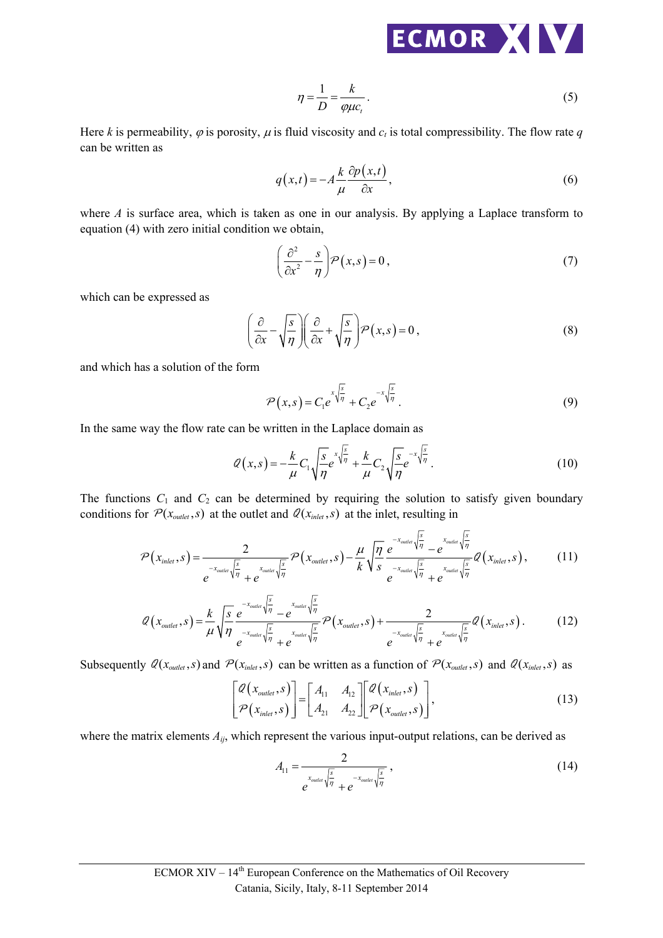

$$
\eta = \frac{1}{D} = \frac{k}{\varphi \mu c_t} \,. \tag{5}
$$

Here *k* is permeability,  $\varphi$  is porosity,  $\mu$  is fluid viscosity and  $c_t$  is total compressibility. The flow rate  $q$ can be written as

$$
q(x,t) = -A\frac{k}{\mu}\frac{\partial p(x,t)}{\partial x},
$$
\n(6)

where *A* is surface area, which is taken as one in our analysis. By applying a Laplace transform to equation (4) with zero initial condition we obtain,

$$
\left(\frac{\partial^2}{\partial x^2} - \frac{s}{\eta}\right) P(x, s) = 0,
$$
\n(7)

which can be expressed as

$$
\left(\frac{\partial}{\partial x} - \sqrt{\frac{s}{\eta}}\right) \left(\frac{\partial}{\partial x} + \sqrt{\frac{s}{\eta}}\right) \mathcal{P}(x, s) = 0,
$$
\n(8)

and which has a solution of the form

$$
\mathcal{P}(x,s) = C_1 e^{x\sqrt{\frac{s}{\eta}}} + C_2 e^{-x\sqrt{\frac{s}{\eta}}}.
$$
\n(9)

In the same way the flow rate can be written in the Laplace domain as

$$
\mathcal{Q}(x,s) = -\frac{k}{\mu}C_1 \sqrt{\frac{s}{\eta}} e^{x\sqrt{\frac{s}{\eta}}} + \frac{k}{\mu}C_2 \sqrt{\frac{s}{\eta}} e^{-x\sqrt{\frac{s}{\eta}}}. \tag{10}
$$

The functions  $C_1$  and  $C_2$  can be determined by requiring the solution to satisfy given boundary conditions for  $P(x_{\text{outer}}, s)$  at the outlet and  $Q(x_{\text{inter}}, s)$  at the inlet, resulting in

$$
\mathcal{P}(x_{\text{inel}},s) = \frac{2}{e^{-x_{\text{outlet}}\sqrt{\frac{s}{\eta}}} + e^{-x_{\text{outlet}}\sqrt{\frac{s}{\eta}}}} \mathcal{P}(x_{\text{outlet}},s) - \frac{\mu}{k} \sqrt{\frac{\eta}{s}} \frac{e^{-x_{\text{outlet}}\sqrt{\frac{s}{\eta}}} - e^{-x_{\text{outlet}}\sqrt{\frac{s}{\eta}}}}{e^{-x_{\text{outlet}}\sqrt{\frac{s}{\eta}}} + e^{-x_{\text{outlet}}\sqrt{\frac{s}{\eta}}}} \mathcal{Q}(x_{\text{inel}},s),
$$
(11)

$$
Q(x_{\text{outlet}},s) = \frac{k}{\mu} \sqrt{\frac{s}{\eta}} \frac{e^{-x_{\text{outlet}} \sqrt{\frac{s}{\eta}}}}{e^{-x_{\text{outlet}} \sqrt{\frac{s}{\eta}}} + e^{-x_{\text{outlet}} \sqrt{\frac{s}{\eta}}}} \mathcal{P}(x_{\text{outlet}},s) + \frac{2}{e^{-x_{\text{outlet}} \sqrt{\frac{s}{\eta}}} + e^{-x_{\text{outlet}} \sqrt{\frac{s}{\eta}}} \mathcal{Q}(x_{\text{inlet}},s).
$$
(12)

Subsequently  $Q(x_{\text{outlet}}, s)$  and  $P(x_{\text{inlet}}, s)$  can be written as a function of  $P(x_{\text{outlet}}, s)$  and  $Q(x_{\text{inlet}}, s)$  as

$$
\begin{bmatrix} \mathcal{Q}(x_{\text{outlet}}, s) \\ \mathcal{P}(x_{\text{inlet}}, s) \end{bmatrix} = \begin{bmatrix} A_{11} & A_{12} \\ A_{21} & A_{22} \end{bmatrix} \begin{bmatrix} \mathcal{Q}(x_{\text{inlet}}, s) \\ \mathcal{P}(x_{\text{outlet}}, s) \end{bmatrix},
$$
\n(13)

where the matrix elements  $A_{ij}$ , which represent the various input-output relations, can be derived as

$$
A_{11} = \frac{2}{e^{x_{\text{outlet}}\sqrt{\frac{s}{\eta}}} + e^{-x_{\text{outlet}}\sqrt{\frac{s}{\eta}}}} \,,\tag{14}
$$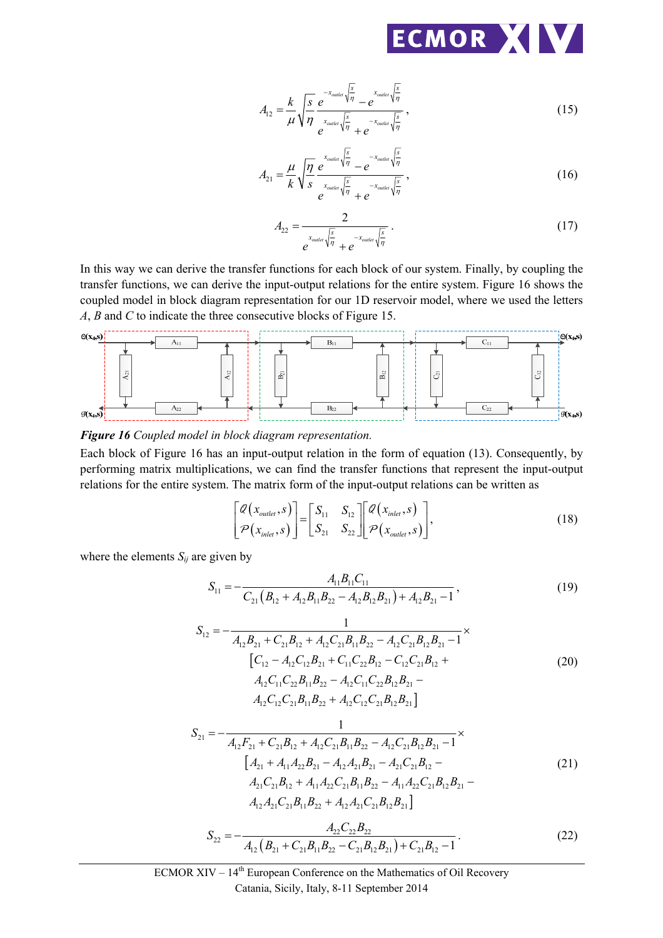

$$
A_{12} = \frac{k}{\mu} \sqrt{\frac{s}{\eta}} \frac{e^{-x_{\text{outlet}} \sqrt{\frac{s}{\eta}}}}{e^{-x_{\text{outlet}} \sqrt{\frac{s}{\eta}}}} - e^{-x_{\text{outlet}} \sqrt{\frac{s}{\eta}}},
$$
(15)

$$
A_{21} = \frac{\mu}{k} \sqrt{\frac{\eta}{s}} \frac{e^{x_{\text{outer}} \sqrt{\frac{s}{\eta}}}}{e^{x_{\text{outer}} \sqrt{\frac{s}{\eta}}} + e^{-x_{\text{outer}} \sqrt{\frac{s}{\eta}}}},
$$
(16)

$$
A_{22} = \frac{2}{e^{x_{\text{outlet}}\sqrt{\frac{s}{\eta}}} + e^{-x_{\text{outlet}}\sqrt{\frac{s}{\eta}}}}.
$$
 (17)

In this way we can derive the transfer functions for each block of our system. Finally, by coupling the transfer functions, we can derive the input-output relations for the entire system. Figure 16 shows the coupled model in block diagram representation for our 1D reservoir model, where we used the letters *A*, *B* and *C* to indicate the three consecutive blocks of Figure 15.



#### *Figure 16 Coupled model in block diagram representation.*

Each block of Figure 16 has an input-output relation in the form of equation (13). Consequently, by performing matrix multiplications, we can find the transfer functions that represent the input-output relations for the entire system. The matrix form of the input-output relations can be written as

$$
\begin{bmatrix} \mathcal{Q}\left(x_{\text{outer}}, s\right) \\ \mathcal{P}\left(x_{\text{inlet}}, s\right) \end{bmatrix} = \begin{bmatrix} S_{11} & S_{12} \\ S_{21} & S_{22} \end{bmatrix} \begin{bmatrix} \mathcal{Q}\left(x_{\text{inlet}}, s\right) \\ \mathcal{P}\left(x_{\text{outlet}}, s\right) \end{bmatrix},\tag{18}
$$

where the elements  $S_{ij}$  are given by

$$
S_{11} = -\frac{A_{11}B_{11}C_{11}}{C_{21}(B_{12} + A_{12}B_{11}B_{22} - A_{12}B_{12}B_{21}) + A_{12}B_{21} - 1},
$$
\n(19)

$$
S_{12} = -\frac{1}{A_{12}B_{21} + C_{21}B_{12} + A_{12}C_{21}B_{11}B_{22} - A_{12}C_{21}B_{12}B_{21} - 1} \times
$$
  
\n
$$
\left[C_{12} - A_{12}C_{12}B_{21} + C_{11}C_{22}B_{12} - C_{12}C_{21}B_{12} + A_{12}C_{11}C_{22}B_{11}B_{22} - A_{12}C_{11}C_{22}B_{12}B_{21} - A_{12}C_{12}C_{21}B_{11}B_{22} + A_{12}C_{12}C_{21}B_{12}B_{21}\right]
$$
\n(20)

$$
S_{21} = -\frac{1}{A_{12}F_{21} + C_{21}B_{12} + A_{12}C_{21}B_{11}B_{22} - A_{12}C_{21}B_{12}B_{21} - 1} \times
$$
  
\n
$$
\begin{bmatrix} A_{21} + A_{11}A_{22}B_{21} - A_{12}A_{21}B_{21} - A_{21}C_{21}B_{12} - A_{21}C_{21}B_{12} - A_{21}C_{21}B_{12} + A_{11}A_{22}C_{21}B_{11}B_{22} - A_{11}A_{22}C_{21}B_{12}B_{21} - A_{12}A_{21}C_{21}B_{11}B_{22} + A_{12}A_{21}C_{21}B_{12}B_{21} \end{bmatrix}
$$
\n(21)

$$
S_{22} = -\frac{A_{22}C_{22}B_{22}}{A_{12}\left(B_{21} + C_{21}B_{11}B_{22} - C_{21}B_{12}B_{21}\right) + C_{21}B_{12} - 1}.
$$
\n(22)

ECMOR XIV – 14th European Conference on the Mathematics of Oil Recovery Catania, Sicily, Italy, 8-11 September 2014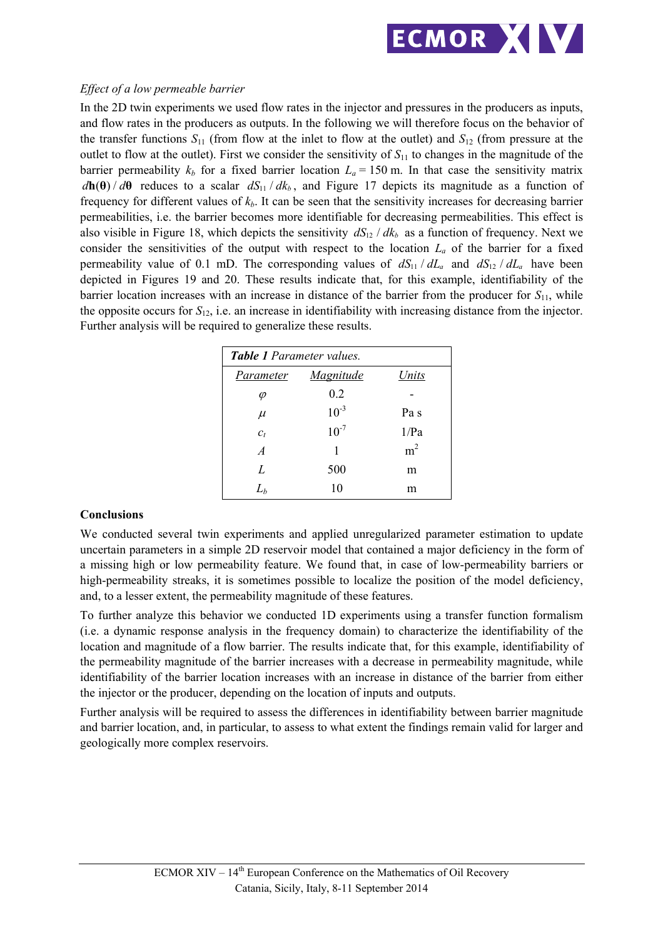

## *Effect of a low permeable barrier*

In the 2D twin experiments we used flow rates in the injector and pressures in the producers as inputs, and flow rates in the producers as outputs. In the following we will therefore focus on the behavior of the transfer functions  $S_{11}$  (from flow at the inlet to flow at the outlet) and  $S_{12}$  (from pressure at the outlet to flow at the outlet). First we consider the sensitivity of  $S<sub>11</sub>$  to changes in the magnitude of the barrier permeability  $k_b$  for a fixed barrier location  $L_a = 150$  m. In that case the sensitivity matrix  $d\mathbf{h}(\theta) / d\theta$  reduces to a scalar  $dS_{11} / dk_b$ , and Figure 17 depicts its magnitude as a function of frequency for different values of  $k_b$ . It can be seen that the sensitivity increases for decreasing barrier permeabilities, i.e. the barrier becomes more identifiable for decreasing permeabilities. This effect is also visible in Figure 18, which depicts the sensitivity  $dS_{12} / dk_b$  as a function of frequency. Next we consider the sensitivities of the output with respect to the location *La* of the barrier for a fixed permeability value of 0.1 mD. The corresponding values of  $dS_{11} / dL_a$  and  $dS_{12} / dL_a$  have been depicted in Figures 19 and 20. These results indicate that, for this example, identifiability of the barrier location increases with an increase in distance of the barrier from the producer for *S*11, while the opposite occurs for  $S_{12}$ , i.e. an increase in identifiability with increasing distance from the injector. Further analysis will be required to generalize these results.

| <b>Table 1</b> Parameter values. |           |                |
|----------------------------------|-----------|----------------|
| Parameter                        | Magnitude | Units          |
| $\varphi$                        | 0.2       |                |
| $\mu$                            | $10^{-3}$ | Pa s           |
| $c_t$                            | $10^{-7}$ | 1/Pa           |
| $\overline{A}$                   | 1         | m <sup>2</sup> |
| L                                | 500       | m              |
| $\mathit{L}_{h}$                 | 10        | m              |

## **Conclusions**

We conducted several twin experiments and applied unregularized parameter estimation to update uncertain parameters in a simple 2D reservoir model that contained a major deficiency in the form of a missing high or low permeability feature. We found that, in case of low-permeability barriers or high-permeability streaks, it is sometimes possible to localize the position of the model deficiency, and, to a lesser extent, the permeability magnitude of these features.

To further analyze this behavior we conducted 1D experiments using a transfer function formalism (i.e. a dynamic response analysis in the frequency domain) to characterize the identifiability of the location and magnitude of a flow barrier. The results indicate that, for this example, identifiability of the permeability magnitude of the barrier increases with a decrease in permeability magnitude, while identifiability of the barrier location increases with an increase in distance of the barrier from either the injector or the producer, depending on the location of inputs and outputs.

Further analysis will be required to assess the differences in identifiability between barrier magnitude and barrier location, and, in particular, to assess to what extent the findings remain valid for larger and geologically more complex reservoirs.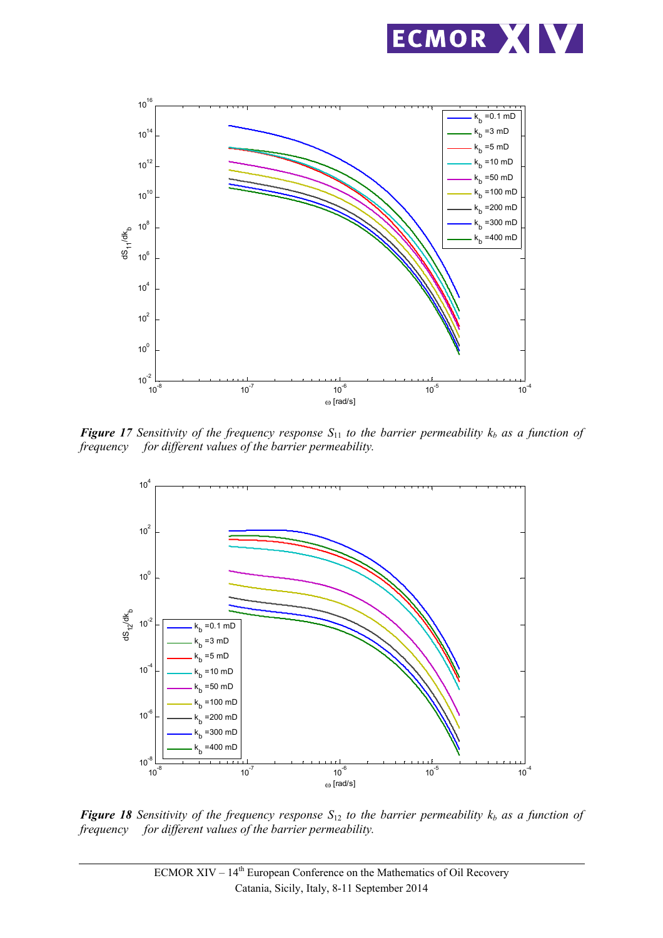



*Figure 17 Sensitivity of the frequency response* $S_{11}$  **to the barrier permeability**  $k_b$  **as a function of** *frequency for different values of the barrier permeability.* 



*Figure 18 Sensitivity of the frequency response*  $S_{12}$  *to the barrier permeability*  $k_b$  *as a function of frequency for different values of the barrier permeability.*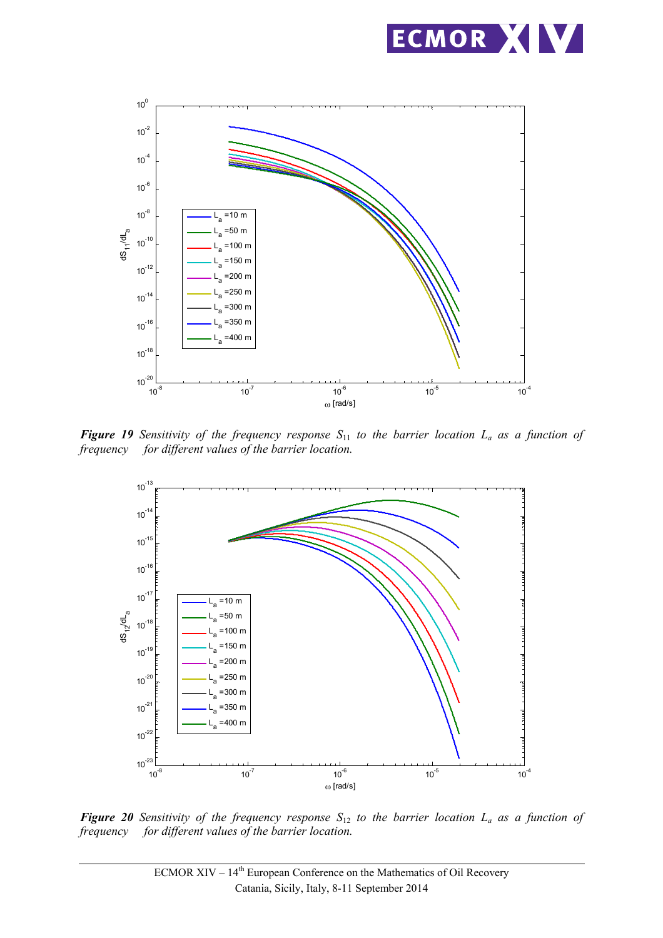



*Figure 19 Sensitivity of the frequency response*  $S_{11}$  *to the barrier location*  $L_a$  *as a function of frequency for different values of the barrier location. for different values of the barrier location.* 



*Figure 20 Sensitivity of the frequency response*  $S_{12}$  *to the barrier location*  $L_a$  *as a function of frequency for different values of the barrier location.*